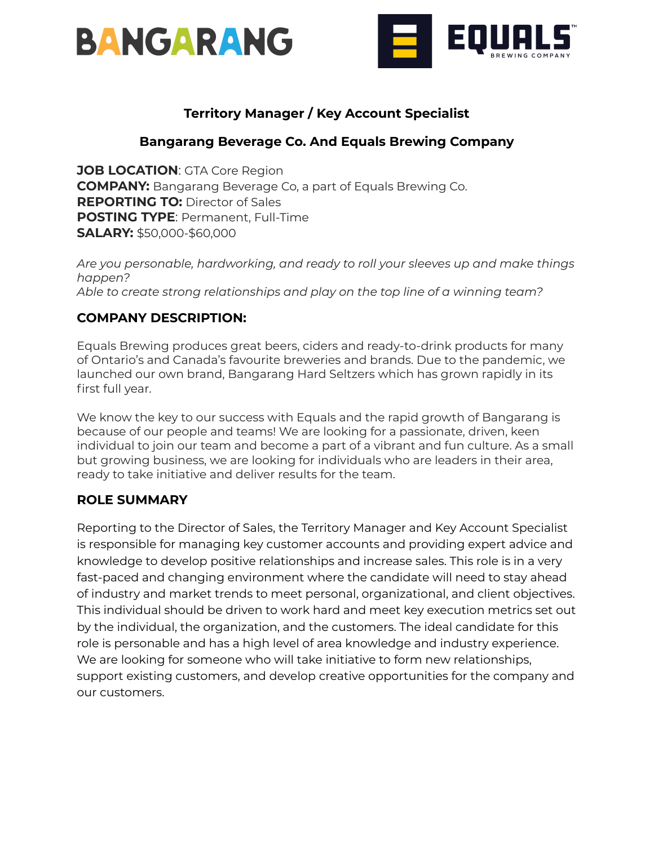



## **Territory Manager / Key Account Specialist**

### **Bangarang Beverage Co. And Equals Brewing Company**

**JOB LOCATION**: GTA Core Region **COMPANY:** Bangarang Beverage Co, a part of Equals Brewing Co. **REPORTING TO:** Director of Sales **POSTING TYPE**: Permanent, Full-Time **SALARY:** \$50,000-\$60,000

*Are you personable, hardworking, and ready to roll your sleeves up and make things happen? Able to create strong relationships and play on the top line of a winning team?*

### **COMPANY DESCRIPTION:**

Equals Brewing produces great beers, ciders and ready-to-drink products for many of Ontario's and Canada's favourite breweries and brands. Due to the pandemic, we launched our own brand, Bangarang Hard Seltzers which has grown rapidly in its first full year.

We know the key to our success with Equals and the rapid growth of Bangarang is because of our people and teams! We are looking for a passionate, driven, keen individual to join our team and become a part of a vibrant and fun culture. As a small but growing business, we are looking for individuals who are leaders in their area, ready to take initiative and deliver results for the team.

#### **ROLE SUMMARY**

Reporting to the Director of Sales, the Territory Manager and Key Account Specialist is responsible for managing key customer accounts and providing expert advice and knowledge to develop positive relationships and increase sales. This role is in a very fast-paced and changing environment where the candidate will need to stay ahead of industry and market trends to meet personal, organizational, and client objectives. This individual should be driven to work hard and meet key execution metrics set out by the individual, the organization, and the customers. The ideal candidate for this role is personable and has a high level of area knowledge and industry experience. We are looking for someone who will take initiative to form new relationships, support existing customers, and develop creative opportunities for the company and our customers.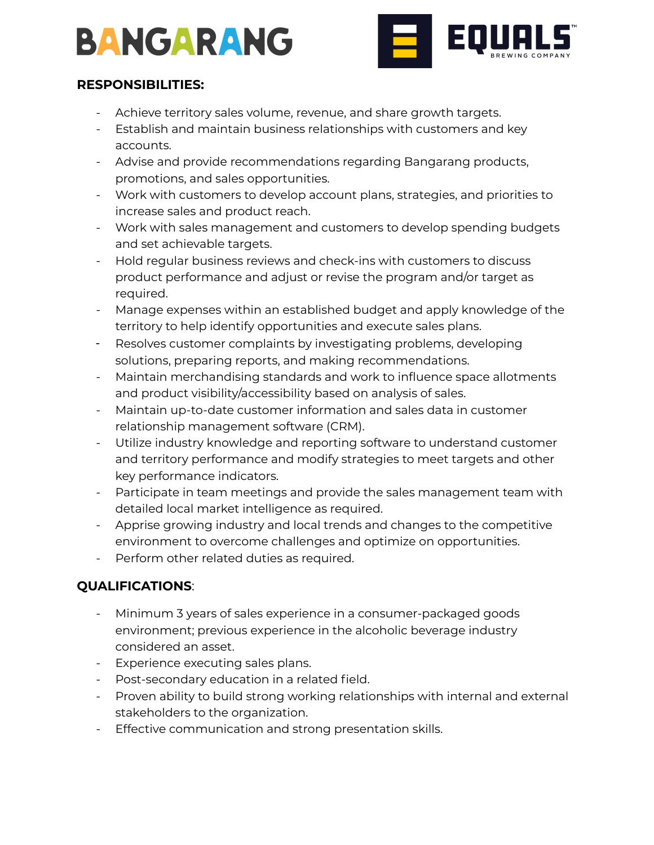# **BANGARANG**



## **RESPONSIBILITIES:**

- Achieve territory sales volume, revenue, and share growth targets.
- Establish and maintain business relationships with customers and key accounts.
- Advise and provide recommendations regarding Bangarang products, promotions, and sales opportunities.
- Work with customers to develop account plans, strategies, and priorities to increase sales and product reach.
- Work with sales management and customers to develop spending budgets and set achievable targets.
- Hold regular business reviews and check-ins with customers to discuss product performance and adjust or revise the program and/or target as required.
- Manage expenses within an established budget and apply knowledge of the territory to help identify opportunities and execute sales plans.
- Resolves customer complaints by investigating problems, developing solutions, preparing reports, and making recommendations.
- Maintain merchandising standards and work to influence space allotments and product visibility/accessibility based on analysis of sales.
- Maintain up-to-date customer information and sales data in customer relationship management software (CRM).
- Utilize industry knowledge and reporting software to understand customer and territory performance and modify strategies to meet targets and other key performance indicators.
- Participate in team meetings and provide the sales management team with detailed local market intelligence as required.
- Apprise growing industry and local trends and changes to the competitive environment to overcome challenges and optimize on opportunities.
- Perform other related duties as required.

## **QUALIFICATIONS**:

- Minimum 3 years of sales experience in a consumer-packaged goods environment; previous experience in the alcoholic beverage industry considered an asset.
- Experience executing sales plans.
- Post-secondary education in a related field.
- Proven ability to build strong working relationships with internal and external stakeholders to the organization.
- Effective communication and strong presentation skills.